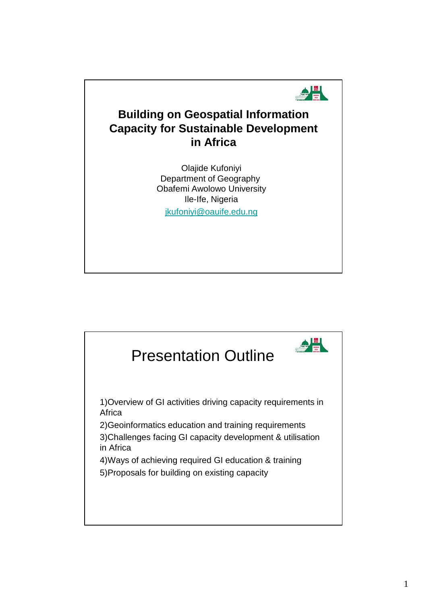

## **Building on Geospatial Information Capacity for Sustainable Development in Africa**

Olajide Kufoniyi Department of Geography Obafemi Awolowo University Ile-Ife, Nigeria jkufoniyi@oauife.edu.ng

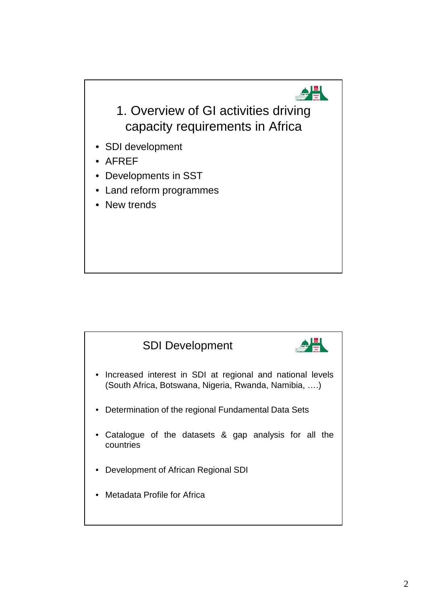

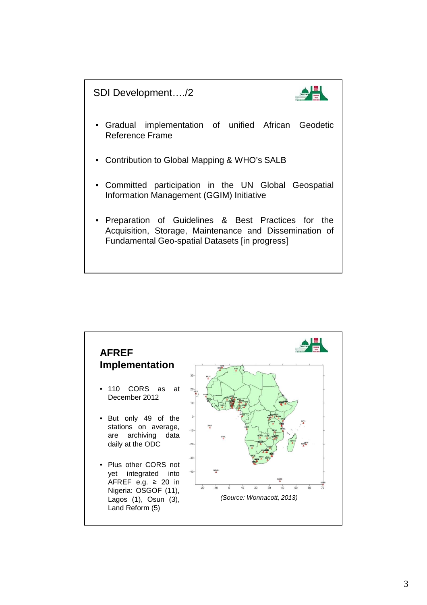SDI Development…./2



- Gradual implementation of unified African Geodetic Reference Frame
- Contribution to Global Mapping & WHO's SALB
- Committed participation in the UN Global Geospatial Information Management (GGIM) Initiative
- Preparation of Guidelines & Best Practices for the Acquisition, Storage, Maintenance and Dissemination of Fundamental Geo-spatial Datasets [in progress]

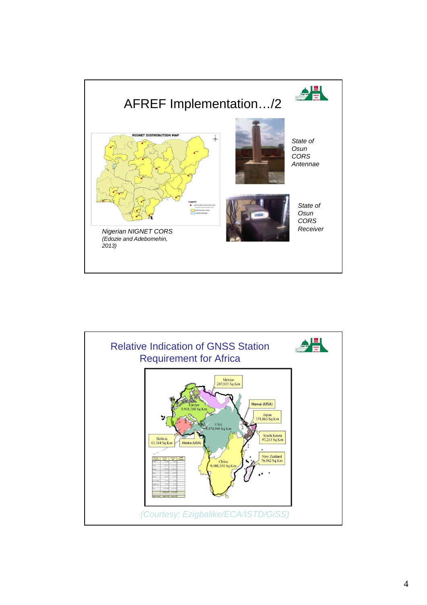

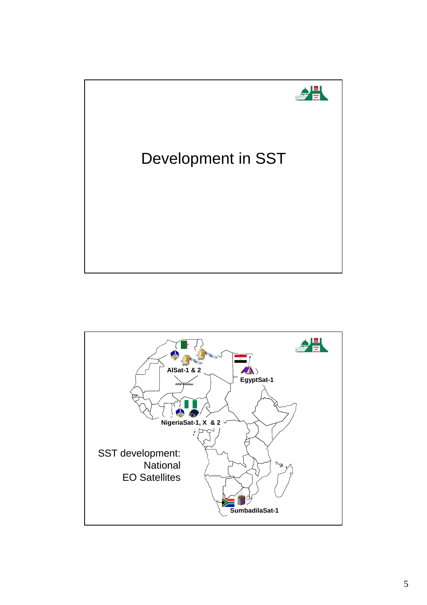

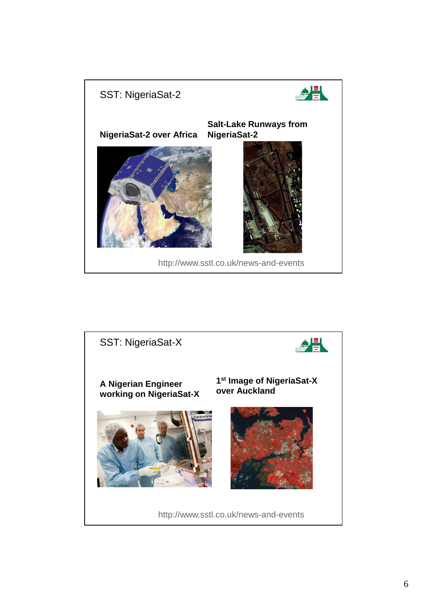

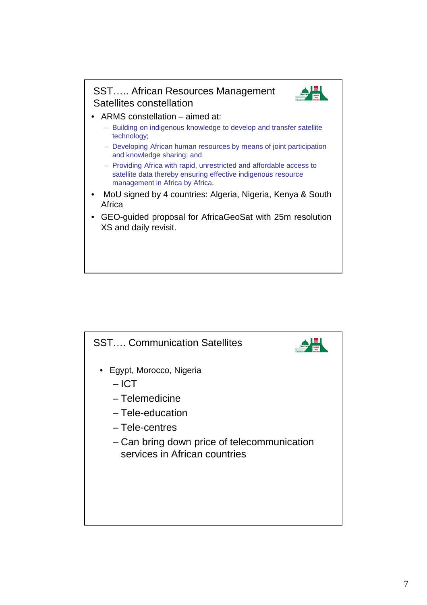

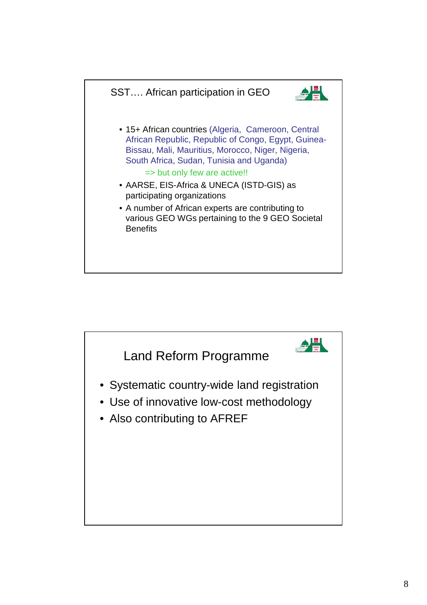

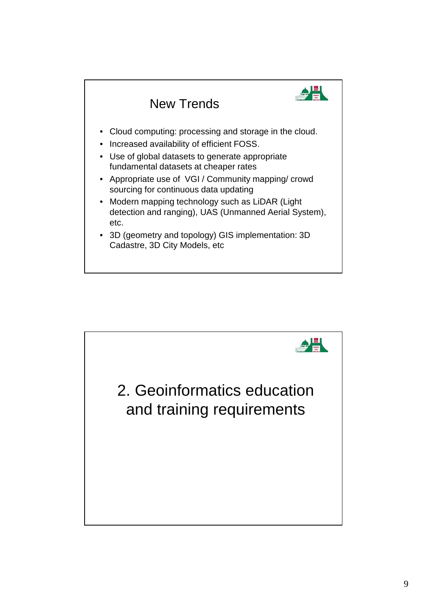

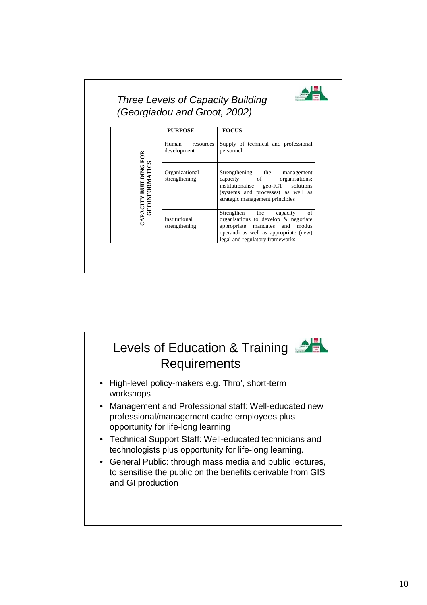

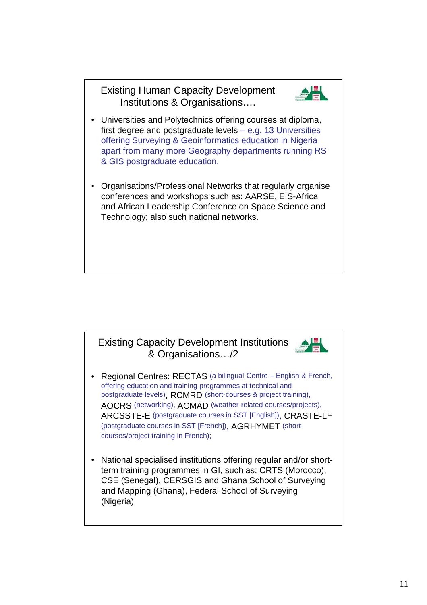Existing Human Capacity Development Institutions & Organisations….



- Universities and Polytechnics offering courses at diploma, first degree and postgraduate levels – e.g. 13 Universities offering Surveying & Geoinformatics education in Nigeria apart from many more Geography departments running RS & GIS postgraduate education.
- Organisations/Professional Networks that regularly organise conferences and workshops such as: AARSE, EIS-Africa and African Leadership Conference on Space Science and Technology; also such national networks.



- Regional Centres: RECTAS (a bilingual Centre English & French, offering education and training programmes at technical and postgraduate levels), RCMRD (short-courses & project training), AOCRS (networking), ACMAD (weather-related courses/projects), ARCSSTE-E (postgraduate courses in SST [English]), CRASTE-LF (postgraduate courses in SST [French]), AGRHYMET (shortcourses/project training in French);
- National specialised institutions offering regular and/or shortterm training programmes in GI, such as: CRTS (Morocco), CSE (Senegal), CERSGIS and Ghana School of Surveying and Mapping (Ghana), Federal School of Surveying (Nigeria)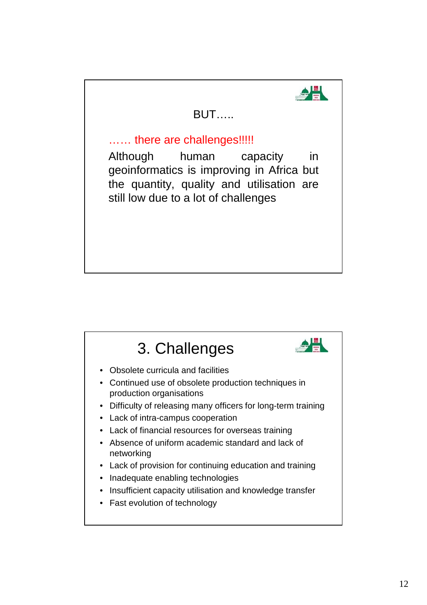

## BUT…..

## ...... there are challenges!!!!!

Although human capacity in geoinformatics is improving in Africa but the quantity, quality and utilisation are still low due to a lot of challenges

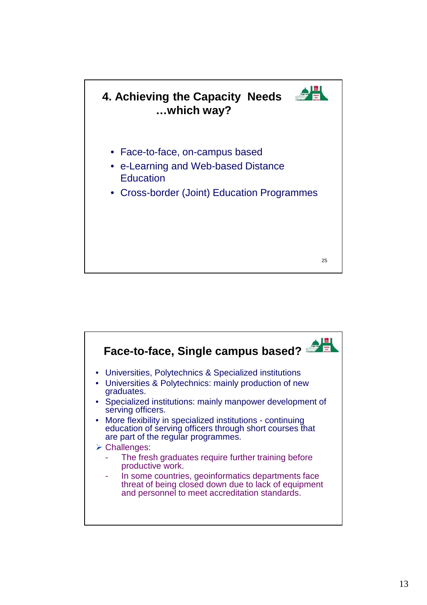

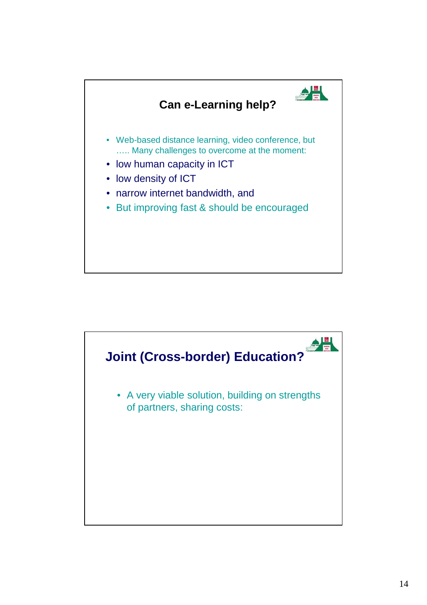

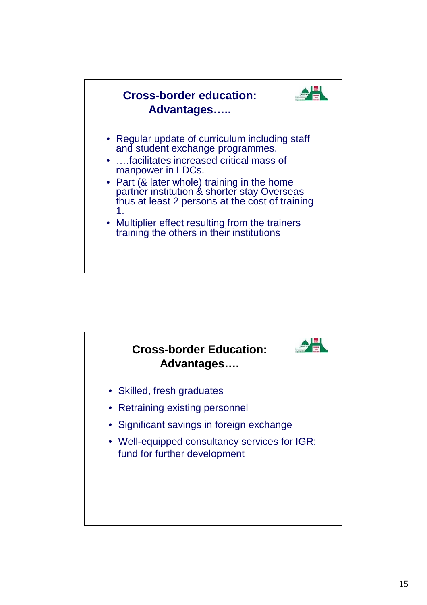

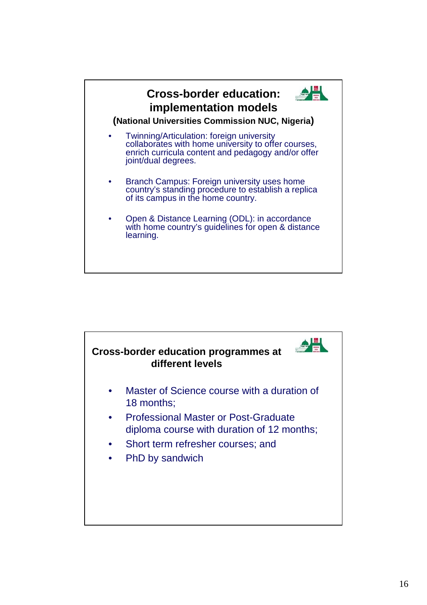

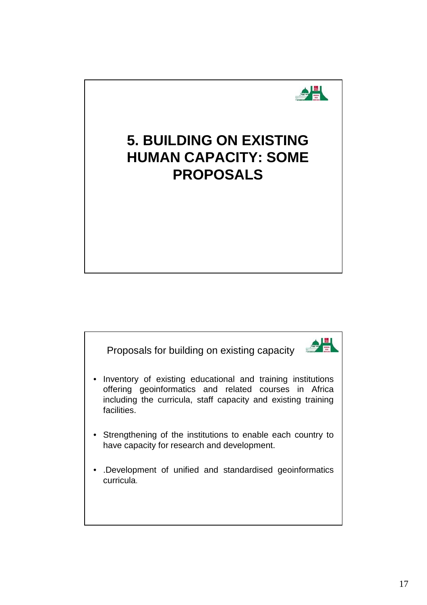

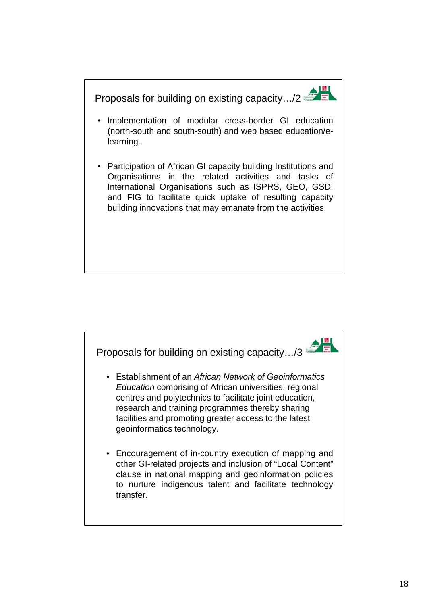